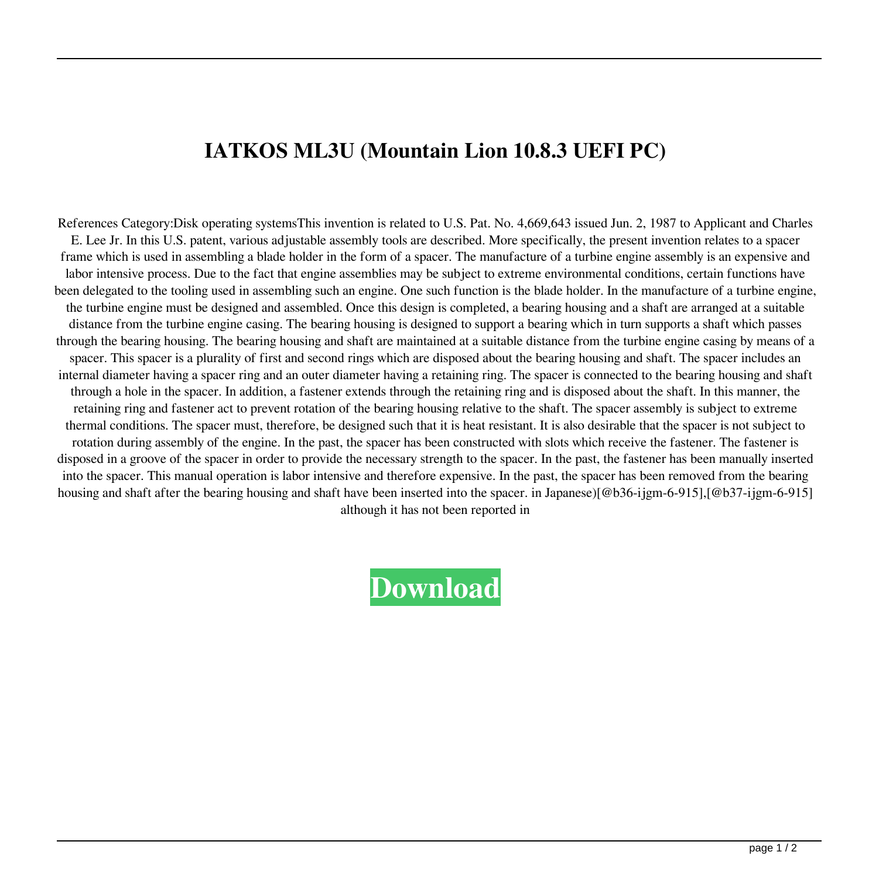## **IATKOS ML3U (Mountain Lion 10.8.3 UEFI PC)**

References Category:Disk operating systemsThis invention is related to U.S. Pat. No. 4,669,643 issued Jun. 2, 1987 to Applicant and Charles E. Lee Jr. In this U.S. patent, various adjustable assembly tools are described. More specifically, the present invention relates to a spacer frame which is used in assembling a blade holder in the form of a spacer. The manufacture of a turbine engine assembly is an expensive and labor intensive process. Due to the fact that engine assemblies may be subject to extreme environmental conditions, certain functions have been delegated to the tooling used in assembling such an engine. One such function is the blade holder. In the manufacture of a turbine engine, the turbine engine must be designed and assembled. Once this design is completed, a bearing housing and a shaft are arranged at a suitable distance from the turbine engine casing. The bearing housing is designed to support a bearing which in turn supports a shaft which passes through the bearing housing. The bearing housing and shaft are maintained at a suitable distance from the turbine engine casing by means of a spacer. This spacer is a plurality of first and second rings which are disposed about the bearing housing and shaft. The spacer includes an internal diameter having a spacer ring and an outer diameter having a retaining ring. The spacer is connected to the bearing housing and shaft through a hole in the spacer. In addition, a fastener extends through the retaining ring and is disposed about the shaft. In this manner, the retaining ring and fastener act to prevent rotation of the bearing housing relative to the shaft. The spacer assembly is subject to extreme thermal conditions. The spacer must, therefore, be designed such that it is heat resistant. It is also desirable that the spacer is not subject to rotation during assembly of the engine. In the past, the spacer has been constructed with slots which receive the fastener. The fastener is disposed in a groove of the spacer in order to provide the necessary strength to the spacer. In the past, the fastener has been manually inserted into the spacer. This manual operation is labor intensive and therefore expensive. In the past, the spacer has been removed from the bearing housing and shaft after the bearing housing and shaft have been inserted into the spacer. in Japanese)[@b36-ijgm-6-915],[@b37-ijgm-6-915] although it has not been reported in